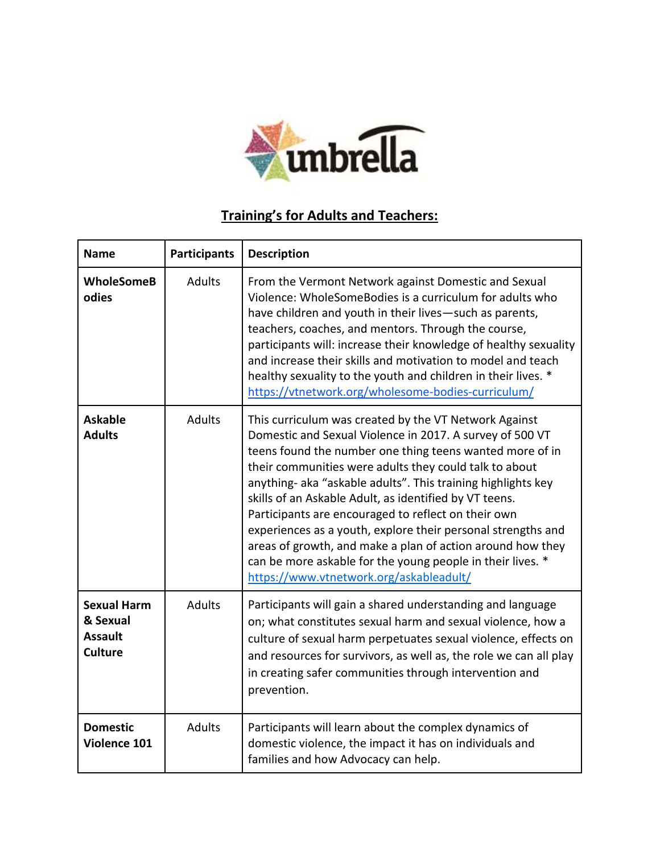

## **Training's for Adults and Teachers:**

| <b>Name</b>                                                        | <b>Participants</b> | <b>Description</b>                                                                                                                                                                                                                                                                                                                                                                                                                                                                                                                                                                                                                                              |
|--------------------------------------------------------------------|---------------------|-----------------------------------------------------------------------------------------------------------------------------------------------------------------------------------------------------------------------------------------------------------------------------------------------------------------------------------------------------------------------------------------------------------------------------------------------------------------------------------------------------------------------------------------------------------------------------------------------------------------------------------------------------------------|
| <b>WholeSomeB</b><br>odies                                         | <b>Adults</b>       | From the Vermont Network against Domestic and Sexual<br>Violence: WholeSomeBodies is a curriculum for adults who<br>have children and youth in their lives-such as parents,<br>teachers, coaches, and mentors. Through the course,<br>participants will: increase their knowledge of healthy sexuality<br>and increase their skills and motivation to model and teach<br>healthy sexuality to the youth and children in their lives. *<br>https://vtnetwork.org/wholesome-bodies-curriculum/                                                                                                                                                                    |
| <b>Askable</b><br><b>Adults</b>                                    | <b>Adults</b>       | This curriculum was created by the VT Network Against<br>Domestic and Sexual Violence in 2017. A survey of 500 VT<br>teens found the number one thing teens wanted more of in<br>their communities were adults they could talk to about<br>anything- aka "askable adults". This training highlights key<br>skills of an Askable Adult, as identified by VT teens.<br>Participants are encouraged to reflect on their own<br>experiences as a youth, explore their personal strengths and<br>areas of growth, and make a plan of action around how they<br>can be more askable for the young people in their lives. *<br>https://www.vtnetwork.org/askableadult/ |
| <b>Sexual Harm</b><br>& Sexual<br><b>Assault</b><br><b>Culture</b> | <b>Adults</b>       | Participants will gain a shared understanding and language<br>on; what constitutes sexual harm and sexual violence, how a<br>culture of sexual harm perpetuates sexual violence, effects on<br>and resources for survivors, as well as, the role we can all play<br>in creating safer communities through intervention and<br>prevention.                                                                                                                                                                                                                                                                                                                       |
| <b>Domestic</b><br>Violence 101                                    | <b>Adults</b>       | Participants will learn about the complex dynamics of<br>domestic violence, the impact it has on individuals and<br>families and how Advocacy can help.                                                                                                                                                                                                                                                                                                                                                                                                                                                                                                         |